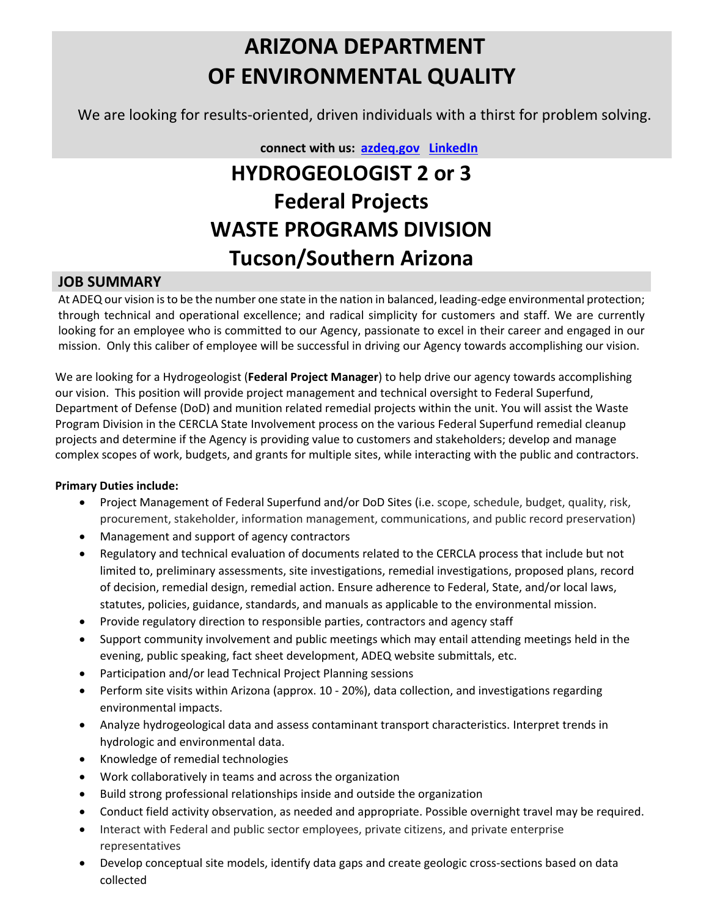# **ARIZONA DEPARTMENT OF ENVIRONMENTAL QUALITY**

We are looking for results-oriented, driven individuals with a thirst for problem solving.

 **connect with us: [azdeq.gov](http://www.azdeq.gov/) [LinkedIn](https://www.linkedin.com/company/arizona-department-of-environmental-quality)**

# **HYDROGEOLOGIST 2 or 3 Federal Projects WASTE PROGRAMS DIVISION Tucson/Southern Arizona**

### **JOB SUMMARY**

At ADEQ our vision is to be the number one state in the nation in balanced, leading-edge environmental protection; through technical and operational excellence; and radical simplicity for customers and staff. We are currently looking for an employee who is committed to our Agency, passionate to excel in their career and engaged in our mission. Only this caliber of employee will be successful in driving our Agency towards accomplishing our vision.

We are looking for a Hydrogeologist (**Federal Project Manager**) to help drive our agency towards accomplishing our vision. This position will provide project management and technical oversight to Federal Superfund, Department of Defense (DoD) and munition related remedial projects within the unit. You will assist the Waste Program Division in the CERCLA State Involvement process on the various Federal Superfund remedial cleanup projects and determine if the Agency is providing value to customers and stakeholders; develop and manage complex scopes of work, budgets, and grants for multiple sites, while interacting with the public and contractors.

#### **Primary Duties include:**

- Project Management of Federal Superfund and/or DoD Sites (i.e. scope, schedule, budget, quality, risk, procurement, stakeholder, information management, communications, and public record preservation)
- Management and support of agency contractors
- Regulatory and technical evaluation of documents related to the CERCLA process that include but not limited to, preliminary assessments, site investigations, remedial investigations, proposed plans, record of decision, remedial design, remedial action. Ensure adherence to Federal, State, and/or local laws, statutes, policies, guidance, standards, and manuals as applicable to the environmental mission.
- Provide regulatory direction to responsible parties, contractors and agency staff
- Support community involvement and public meetings which may entail attending meetings held in the evening, public speaking, fact sheet development, ADEQ website submittals, etc.
- Participation and/or lead Technical Project Planning sessions
- Perform site visits within Arizona (approx. 10 20%), data collection, and investigations regarding environmental impacts.
- Analyze hydrogeological data and assess contaminant transport characteristics. Interpret trends in hydrologic and environmental data.
- Knowledge of remedial technologies
- Work collaboratively in teams and across the organization
- Build strong professional relationships inside and outside the organization
- Conduct field activity observation, as needed and appropriate. Possible overnight travel may be required.
- Interact with Federal and public sector employees, private citizens, and private enterprise representatives
- Develop conceptual site models, identify data gaps and create geologic cross-sections based on data collected